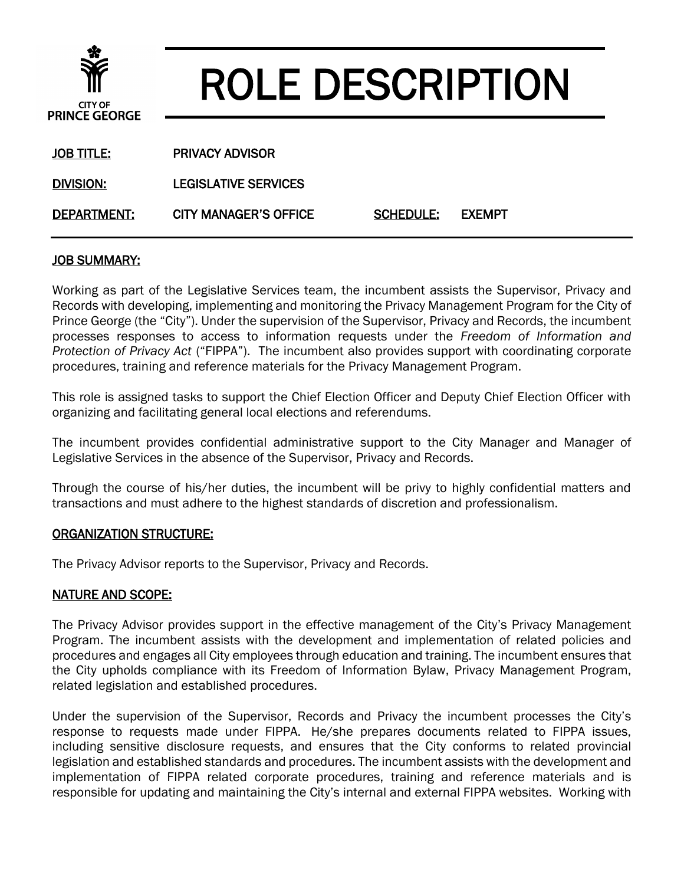

# ROLE DESCRIPTION

| JOB TITLE:  | <b>PRIVACY ADVISOR</b>      |                  |  |
|-------------|-----------------------------|------------------|--|
| DIVISION:   | <b>LEGISLATIVE SERVICES</b> |                  |  |
| DEPARTMENT: | CITY MANAGER'S OFFICE       | SCHEDULE: EXEMPT |  |

## JOB SUMMARY:

Working as part of the Legislative Services team, the incumbent assists the Supervisor, Privacy and Records with developing, implementing and monitoring the Privacy Management Program for the City of Prince George (the "City"). Under the supervision of the Supervisor, Privacy and Records, the incumbent processes responses to access to information requests under the *Freedom of Information and Protection of Privacy Act* ("FIPPA"). The incumbent also provides support with coordinating corporate procedures, training and reference materials for the Privacy Management Program.

This role is assigned tasks to support the Chief Election Officer and Deputy Chief Election Officer with organizing and facilitating general local elections and referendums.

The incumbent provides confidential administrative support to the City Manager and Manager of Legislative Services in the absence of the Supervisor, Privacy and Records.

Through the course of his/her duties, the incumbent will be privy to highly confidential matters and transactions and must adhere to the highest standards of discretion and professionalism.

#### ORGANIZATION STRUCTURE:

The Privacy Advisor reports to the Supervisor, Privacy and Records.

#### NATURE AND SCOPE:

The Privacy Advisor provides support in the effective management of the City's Privacy Management Program. The incumbent assists with the development and implementation of related policies and procedures and engages all City employees through education and training. The incumbent ensures that the City upholds compliance with its Freedom of Information Bylaw, Privacy Management Program, related legislation and established procedures.

Under the supervision of the Supervisor, Records and Privacy the incumbent processes the City's response to requests made under FIPPA. He/she prepares documents related to FIPPA issues, including sensitive disclosure requests, and ensures that the City conforms to related provincial legislation and established standards and procedures. The incumbent assists with the development and implementation of FIPPA related corporate procedures, training and reference materials and is responsible for updating and maintaining the City's internal and external FIPPA websites. Working with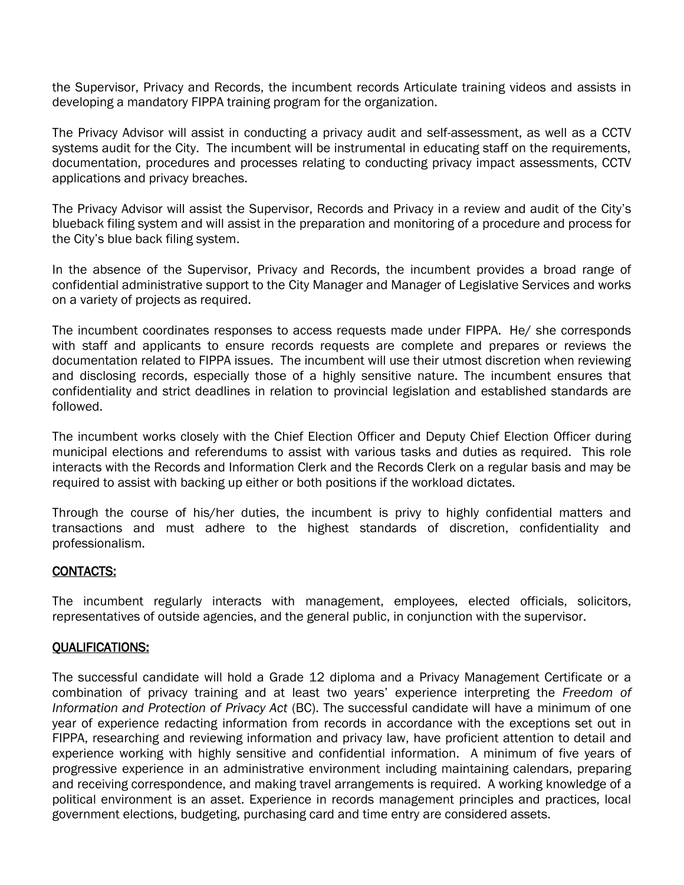the Supervisor, Privacy and Records, the incumbent records Articulate training videos and assists in developing a mandatory FIPPA training program for the organization.

The Privacy Advisor will assist in conducting a privacy audit and self-assessment, as well as a CCTV systems audit for the City. The incumbent will be instrumental in educating staff on the requirements, documentation, procedures and processes relating to conducting privacy impact assessments, CCTV applications and privacy breaches.

The Privacy Advisor will assist the Supervisor, Records and Privacy in a review and audit of the City's blueback filing system and will assist in the preparation and monitoring of a procedure and process for the City's blue back filing system.

In the absence of the Supervisor, Privacy and Records, the incumbent provides a broad range of confidential administrative support to the City Manager and Manager of Legislative Services and works on a variety of projects as required.

The incumbent coordinates responses to access requests made under FIPPA. He/ she corresponds with staff and applicants to ensure records requests are complete and prepares or reviews the documentation related to FIPPA issues. The incumbent will use their utmost discretion when reviewing and disclosing records, especially those of a highly sensitive nature. The incumbent ensures that confidentiality and strict deadlines in relation to provincial legislation and established standards are followed.

The incumbent works closely with the Chief Election Officer and Deputy Chief Election Officer during municipal elections and referendums to assist with various tasks and duties as required. This role interacts with the Records and Information Clerk and the Records Clerk on a regular basis and may be required to assist with backing up either or both positions if the workload dictates.

Through the course of his/her duties, the incumbent is privy to highly confidential matters and transactions and must adhere to the highest standards of discretion, confidentiality and professionalism.

## CONTACTS:

The incumbent regularly interacts with management, employees, elected officials, solicitors, representatives of outside agencies, and the general public, in conjunction with the supervisor.

## QUALIFICATIONS:

The successful candidate will hold a Grade 12 diploma and a Privacy Management Certificate or a combination of privacy training and at least two years' experience interpreting the *Freedom of Information and Protection of Privacy Act* (BC). The successful candidate will have a minimum of one year of experience redacting information from records in accordance with the exceptions set out in FIPPA, researching and reviewing information and privacy law, have proficient attention to detail and experience working with highly sensitive and confidential information. A minimum of five years of progressive experience in an administrative environment including maintaining calendars, preparing and receiving correspondence, and making travel arrangements is required. A working knowledge of a political environment is an asset. Experience in records management principles and practices, local government elections, budgeting, purchasing card and time entry are considered assets.